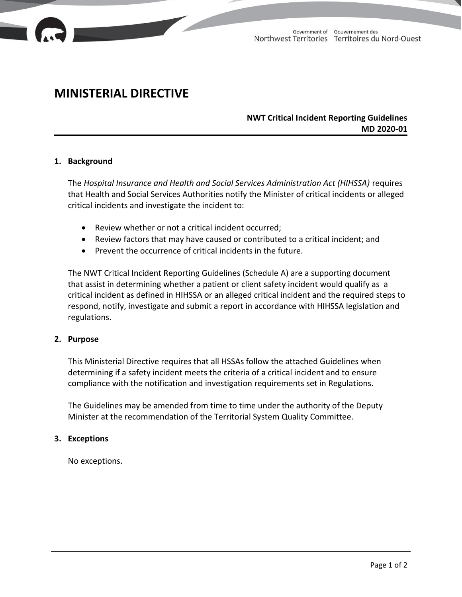

# **MINISTERIAL DIRECTIVE**

# **NWT Critical Incident Reporting Guidelines MD 2020-01**

## **1. Background**

The *Hospital Insurance and Health and Social Services Administration Act (HIHSSA)* requires that Health and Social Services Authorities notify the Minister of critical incidents or alleged critical incidents and investigate the incident to:

- Review whether or not a critical incident occurred;
- Review factors that may have caused or contributed to a critical incident; and
- Prevent the occurrence of critical incidents in the future.

The NWT Critical Incident Reporting Guidelines (Schedule A) are a supporting document that assist in determining whether a patient or client safety incident would qualify as a critical incident as defined in HIHSSA or an alleged critical incident and the required steps to respond, notify, investigate and submit a report in accordance with HIHSSA legislation and regulations.

#### **2. Purpose**

This Ministerial Directive requires that all HSSAs follow the attached Guidelines when determining if a safety incident meets the criteria of a critical incident and to ensure compliance with the notification and investigation requirements set in Regulations.

The Guidelines may be amended from time to time under the authority of the Deputy Minister at the recommendation of the Territorial System Quality Committee.

#### **3. Exceptions**

No exceptions.